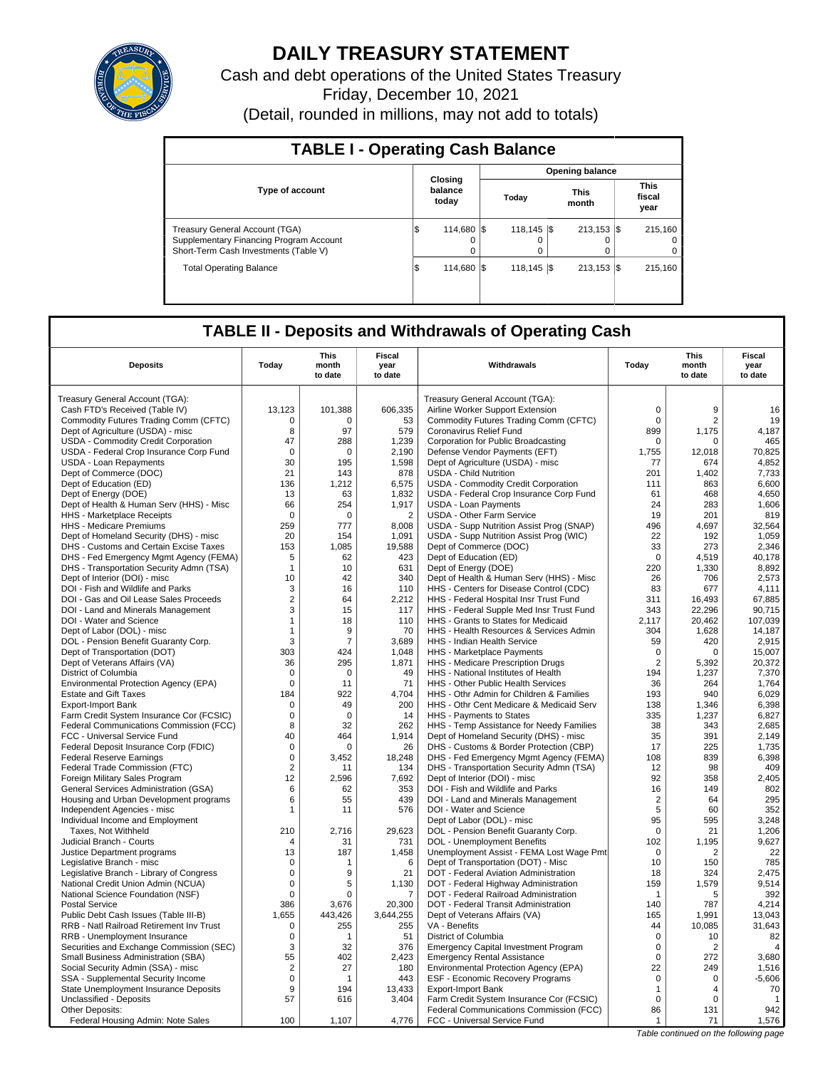

# **DAILY TREASURY STATEMENT**

Cash and debt operations of the United States Treasury Friday, December 10, 2021 (Detail, rounded in millions, may not add to totals)

| <b>TABLE I - Operating Cash Balance</b>                                                                            |                             |                 |  |                         |  |                      |  |                               |  |  |
|--------------------------------------------------------------------------------------------------------------------|-----------------------------|-----------------|--|-------------------------|--|----------------------|--|-------------------------------|--|--|
|                                                                                                                    |                             |                 |  |                         |  | Opening balance      |  |                               |  |  |
| <b>Type of account</b>                                                                                             | Closing<br>balance<br>today |                 |  | Today                   |  | <b>This</b><br>month |  | <b>This</b><br>fiscal<br>year |  |  |
| Treasury General Account (TGA)<br>Supplementary Financing Program Account<br>Short-Term Cash Investments (Table V) |                             | 114,680 \$<br>o |  | $118.145$ S<br>$\Omega$ |  | $213.153$ S<br>0     |  | 215.160<br>$\Omega$<br>0      |  |  |
| <b>Total Operating Balance</b>                                                                                     | l\$                         | 114.680 S       |  | $118.145$ S             |  | $213.153$ $\sqrt{5}$ |  | 215.160                       |  |  |

## **TABLE II - Deposits and Withdrawals of Operating Cash**

| <b>Deposits</b>                          | Today          | <b>This</b><br>month | Fiscal<br>year | Withdrawals                                 | Today          | This<br>month  | <b>Fiscal</b><br>year |
|------------------------------------------|----------------|----------------------|----------------|---------------------------------------------|----------------|----------------|-----------------------|
|                                          |                | to date              | to date        |                                             |                | to date        | to date               |
| Treasury General Account (TGA):          |                |                      |                | Treasury General Account (TGA):             |                |                |                       |
| Cash FTD's Received (Table IV)           | 13,123         | 101,388              | 606,335        | Airline Worker Support Extension            | $\mathsf 0$    | 9              | 16                    |
| Commodity Futures Trading Comm (CFTC)    | $\Omega$       | $\Omega$             | 53             | Commodity Futures Trading Comm (CFTC)       | $\Omega$       | 2              | 19                    |
| Dept of Agriculture (USDA) - misc        | 8              | 97                   | 579            | Coronavirus Relief Fund                     | 899            | 1,175          | 4,187                 |
| USDA - Commodity Credit Corporation      | 47             | 288                  | 1,239          | Corporation for Public Broadcasting         | $\mathbf 0$    | $\Omega$       | 465                   |
| USDA - Federal Crop Insurance Corp Fund  | 0              | 0                    | 2,190          | Defense Vendor Payments (EFT)               | 1,755          | 12,018         | 70,825                |
| <b>USDA - Loan Repayments</b>            | 30             | 195                  | 1,598          | Dept of Agriculture (USDA) - misc           | 77             | 674            | 4,852                 |
| Dept of Commerce (DOC)                   | 21             | 143                  | 878            | <b>USDA - Child Nutrition</b>               | 201            | 1,402          | 7,733                 |
| Dept of Education (ED)                   | 136            | 1,212                | 6,575          | USDA - Commodity Credit Corporation         | 111            | 863            | 6,600                 |
| Dept of Energy (DOE)                     | 13             | 63                   | 1,832          | USDA - Federal Crop Insurance Corp Fund     | 61             | 468            | 4,650                 |
| Dept of Health & Human Serv (HHS) - Misc | 66             | 254                  | 1,917          | <b>USDA - Loan Payments</b>                 | 24             | 283            | 1,606                 |
| HHS - Marketplace Receipts               | $\mathbf 0$    | $\mathbf 0$          | $\overline{2}$ | <b>USDA - Other Farm Service</b>            | 19             | 201            | 819                   |
| HHS - Medicare Premiums                  | 259            | 777                  | 8,008          | USDA - Supp Nutrition Assist Prog (SNAP)    | 496            | 4,697          | 32,564                |
| Dept of Homeland Security (DHS) - misc   | 20             | 154                  | 1.091          | USDA - Supp Nutrition Assist Prog (WIC)     | 22             | 192            | 1,059                 |
| DHS - Customs and Certain Excise Taxes   | 153            | 1,085                | 19,588         | Dept of Commerce (DOC)                      | 33             | 273            | 2,346                 |
| DHS - Fed Emergency Mgmt Agency (FEMA)   | 5              | 62                   | 423            | Dept of Education (ED)                      | $\Omega$       | 4.519          | 40.178                |
| DHS - Transportation Security Admn (TSA) | $\mathbf{1}$   | 10                   | 631            | Dept of Energy (DOE)                        | 220            | 1,330          | 8,892                 |
| Dept of Interior (DOI) - misc            | 10             | 42                   | 340            | Dept of Health & Human Serv (HHS) - Misc    | 26             | 706            | 2,573                 |
| DOI - Fish and Wildlife and Parks        | 3              | 16                   | 110            | HHS - Centers for Disease Control (CDC)     | 83             | 677            | 4.111                 |
| DOI - Gas and Oil Lease Sales Proceeds   | $\overline{2}$ | 64                   | 2,212          | HHS - Federal Hospital Insr Trust Fund      | 311            | 16,493         | 67,885                |
| DOI - Land and Minerals Management       | 3              | 15                   | 117            | HHS - Federal Supple Med Insr Trust Fund    | 343            | 22.296         | 90.715                |
| DOI - Water and Science                  | $\mathbf{1}$   | 18                   | 110            | HHS - Grants to States for Medicaid         | 2,117          | 20,462         | 107,039               |
| Dept of Labor (DOL) - misc               | $\mathbf{1}$   | 9                    | 70             | HHS - Health Resources & Services Admin     | 304            | 1,628          | 14,187                |
| DOL - Pension Benefit Guaranty Corp.     | 3              | $\overline{7}$       | 3,689          | HHS - Indian Health Service                 | 59             | 420            | 2,915                 |
| Dept of Transportation (DOT)             | 303            | 424                  | 1,048          | HHS - Marketplace Payments                  | $\mathbf 0$    | 0              | 15,007                |
| Dept of Veterans Affairs (VA)            | 36             | 295                  | 1,871          | HHS - Medicare Prescription Drugs           | $\overline{2}$ | 5.392          | 20,372                |
| District of Columbia                     | $\mathbf 0$    | $\Omega$             | 49             | HHS - National Institutes of Health         | 194            | 1,237          | 7,370                 |
| Environmental Protection Agency (EPA)    | $\mathbf 0$    | 11                   | 71             | HHS - Other Public Health Services          | 36             | 264            | 1,764                 |
| <b>Estate and Gift Taxes</b>             | 184            | 922                  | 4,704          | HHS - Othr Admin for Children & Families    | 193            | 940            | 6,029                 |
| <b>Export-Import Bank</b>                | 0              | 49                   | 200            | HHS - Othr Cent Medicare & Medicaid Serv    | 138            | 1,346          | 6,398                 |
| Farm Credit System Insurance Cor (FCSIC) | $\Omega$       | $\Omega$             | 14             | HHS - Payments to States                    | 335            | 1,237          | 6,827                 |
| Federal Communications Commission (FCC)  | 8              | 32                   | 262            | HHS - Temp Assistance for Needy Families    | 38             | 343            | 2,685                 |
| FCC - Universal Service Fund             | 40             | 464                  | 1,914          | Dept of Homeland Security (DHS) - misc      | 35             | 391            | 2,149                 |
| Federal Deposit Insurance Corp (FDIC)    | $\Omega$       | $\Omega$             | 26             | DHS - Customs & Border Protection (CBP)     | 17             | 225            | 1.735                 |
| <b>Federal Reserve Earnings</b>          | $\mathsf 0$    | 3,452                | 18,248         | DHS - Fed Emergency Mgmt Agency (FEMA)      | 108            | 839            | 6,398                 |
| Federal Trade Commission (FTC)           | 2              | 11                   | 134            | DHS - Transportation Security Admn (TSA)    | 12             | 98             | 409                   |
| Foreign Military Sales Program           | 12             | 2,596                | 7,692          | Dept of Interior (DOI) - misc               | 92             | 358            | 2,405                 |
| General Services Administration (GSA)    | 6              | 62                   | 353            | DOI - Fish and Wildlife and Parks           | 16             | 149            | 802                   |
| Housing and Urban Development programs   | 6              | 55                   | 439            | DOI - Land and Minerals Management          | $\overline{2}$ | 64             | 295                   |
| Independent Agencies - misc              | $\mathbf{1}$   | 11                   | 576            | DOI - Water and Science                     | 5              | 60             | 352                   |
| Individual Income and Employment         |                |                      |                | Dept of Labor (DOL) - misc                  | 95             | 595            | 3,248                 |
| Taxes, Not Withheld                      | 210            | 2,716                | 29,623         | DOL - Pension Benefit Guaranty Corp.        | $\Omega$       | 21             | 1,206                 |
| Judicial Branch - Courts                 | $\overline{4}$ | 31                   | 731            | <b>DOL</b> - Unemployment Benefits          | 102            | 1,195          | 9,627                 |
| Justice Department programs              | 13             | 187                  | 1,458          | Unemployment Assist - FEMA Lost Wage Pmt    | $\mathbf 0$    | $\overline{2}$ | 22                    |
| Legislative Branch - misc                | $\mathbf 0$    | 1                    | 6              | Dept of Transportation (DOT) - Misc         | 10             | 150            | 785                   |
| Legislative Branch - Library of Congress | $\mathsf 0$    | 9                    | 21             | DOT - Federal Aviation Administration       | 18             | 324            | 2,475                 |
| National Credit Union Admin (NCUA)       | $\mathbf 0$    | 5                    | 1,130          | DOT - Federal Highway Administration        | 159            | 1,579          | 9,514                 |
| National Science Foundation (NSF)        | $\mathbf 0$    | 0                    | 7              | DOT - Federal Railroad Administration       | $\mathbf{1}$   | 5              | 392                   |
| <b>Postal Service</b>                    | 386            | 3,676                | 20,300         | DOT - Federal Transit Administration        | 140            | 787            | 4,214                 |
| Public Debt Cash Issues (Table III-B)    | 1.655          | 443,426              | 3,644,255      | Dept of Veterans Affairs (VA)               | 165            | 1,991          | 13,043                |
| RRB - Natl Railroad Retirement Inv Trust | $\mathbf 0$    | 255                  | 255            | VA - Benefits                               | 44             | 10,085         | 31,643                |
| RRB - Unemployment Insurance             | 0              | 1                    | 51             | District of Columbia                        | $\mathbf 0$    | 10             | 82                    |
| Securities and Exchange Commission (SEC) | 3              | 32                   | 376            | <b>Emergency Capital Investment Program</b> | $\mathbf 0$    | $\overline{2}$ | $\overline{4}$        |
| Small Business Administration (SBA)      | 55             | 402                  | 2,423          | <b>Emergency Rental Assistance</b>          | $\Omega$       | 272            | 3,680                 |
| Social Security Admin (SSA) - misc       | $\overline{2}$ | 27                   | 180            | Environmental Protection Agency (EPA)       | 22             | 249            | 1,516                 |
| SSA - Supplemental Security Income       | $\mathbf 0$    | 1                    | 443            | ESF - Economic Recovery Programs            | $\mathbf 0$    | $\mathbf 0$    | $-5,606$              |
| State Unemployment Insurance Deposits    | 9              | 194                  | 13,433         | <b>Export-Import Bank</b>                   | $\mathbf{1}$   | 4              | 70                    |
| Unclassified - Deposits                  | 57             | 616                  | 3,404          | Farm Credit System Insurance Cor (FCSIC)    | $\mathbf 0$    | $\mathbf 0$    | $\mathbf{1}$          |
| <b>Other Deposits:</b>                   |                |                      |                | Federal Communications Commission (FCC)     | 86             | 131            | 942                   |
| Federal Housing Admin: Note Sales        | 100            | 1,107                | 4,776          | FCC - Universal Service Fund                | 1<br>$T - LI$  | 71             | 1,576<br>$f = H -$    |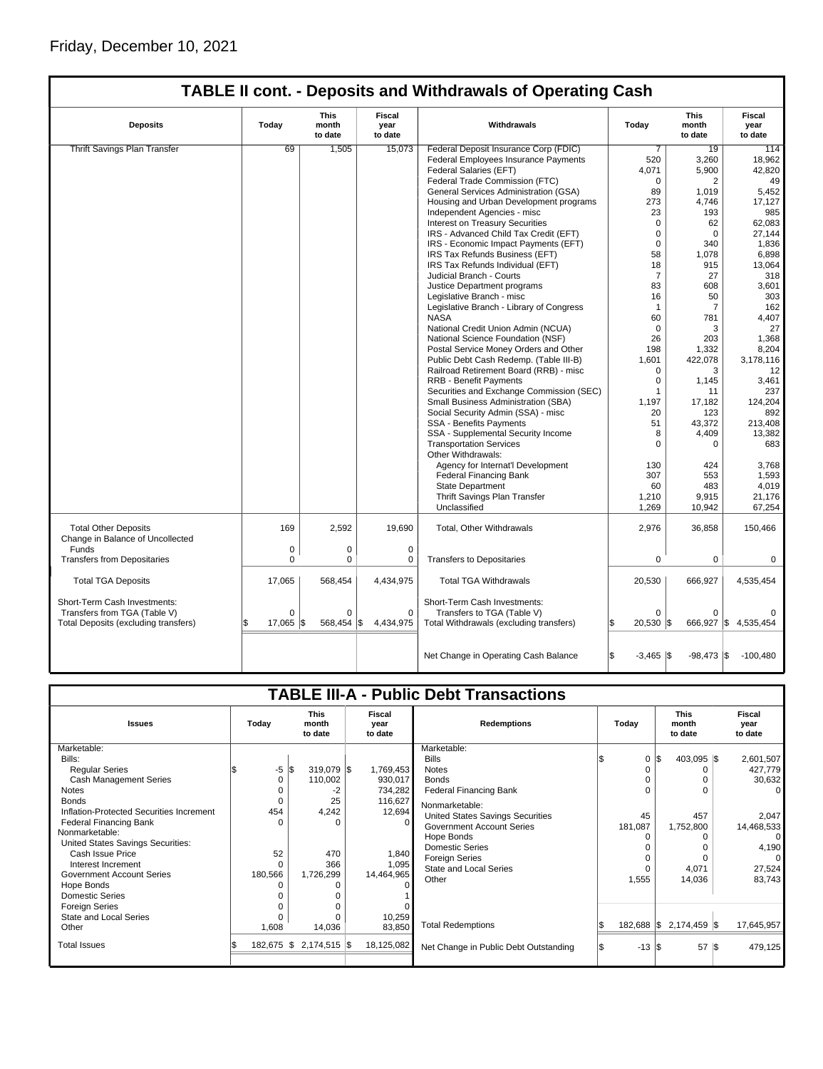|                                                                                          |           |             |                  | <b>TABLE II cont. - Deposits and Withdrawals of Operating Cash</b> |                              |                |                      |
|------------------------------------------------------------------------------------------|-----------|-------------|------------------|--------------------------------------------------------------------|------------------------------|----------------|----------------------|
| This<br><b>Fiscal</b><br><b>Deposits</b><br>Today<br>month<br>year<br>to date<br>to date |           | Withdrawals | Today            | This<br>month<br>to date                                           | Fiscal<br>year<br>to date    |                |                      |
| <b>Thrift Savings Plan Transfer</b>                                                      | 69        | 1,505       | 15.073           | Federal Deposit Insurance Corp (FDIC)                              | 7                            | 19             | 114                  |
|                                                                                          |           |             |                  | <b>Federal Employees Insurance Payments</b>                        | 520                          | 3,260          | 18,962               |
|                                                                                          |           |             |                  | Federal Salaries (EFT)                                             | 4,071                        | 5,900          | 42,820               |
|                                                                                          |           |             |                  | Federal Trade Commission (FTC)                                     | $\Omega$                     | 2              | 49                   |
|                                                                                          |           |             |                  | General Services Administration (GSA)                              | 89                           | 1,019          | 5,452                |
|                                                                                          |           |             |                  | Housing and Urban Development programs                             | 273                          | 4,746          | 17,127               |
|                                                                                          |           |             |                  | Independent Agencies - misc                                        | 23                           | 193            | 985                  |
|                                                                                          |           |             |                  | <b>Interest on Treasury Securities</b>                             | $\Omega$                     | 62             | 62,083               |
|                                                                                          |           |             |                  | IRS - Advanced Child Tax Credit (EFT)                              | $\Omega$                     | $\Omega$       | 27,144               |
|                                                                                          |           |             |                  | IRS - Economic Impact Payments (EFT)                               | $\mathbf 0$                  | 340            | 1,836                |
|                                                                                          |           |             |                  | IRS Tax Refunds Business (EFT)                                     | 58                           | 1,078          | 6,898                |
|                                                                                          |           |             |                  | IRS Tax Refunds Individual (EFT)                                   | 18                           | 915            | 13,064               |
|                                                                                          |           |             |                  |                                                                    | 7                            | 27             | 318                  |
|                                                                                          |           |             |                  | Judicial Branch - Courts                                           | 83                           |                |                      |
|                                                                                          |           |             |                  | Justice Department programs                                        |                              | 608            | 3,601                |
|                                                                                          |           |             |                  | Legislative Branch - misc                                          | 16                           | 50             | 303                  |
|                                                                                          |           |             |                  | Legislative Branch - Library of Congress                           | $\mathbf{1}$                 | $\overline{7}$ | 162                  |
|                                                                                          |           |             |                  | <b>NASA</b>                                                        | 60                           | 781            | 4,407                |
|                                                                                          |           |             |                  | National Credit Union Admin (NCUA)                                 | 0                            | 3              | 27                   |
|                                                                                          |           |             |                  | National Science Foundation (NSF)                                  | 26                           | 203            | 1,368                |
|                                                                                          |           |             |                  | Postal Service Money Orders and Other                              | 198                          | 1,332          | 8,204                |
|                                                                                          |           |             |                  | Public Debt Cash Redemp. (Table III-B)                             | 1,601                        | 422,078        | 3,178,116            |
|                                                                                          |           |             |                  | Railroad Retirement Board (RRB) - misc                             | $\Omega$                     | 3              | 12                   |
|                                                                                          |           |             |                  | <b>RRB - Benefit Payments</b>                                      | $\Omega$                     | 1,145          | 3,461                |
|                                                                                          |           |             |                  | Securities and Exchange Commission (SEC)                           | $\overline{1}$               | 11             | 237                  |
|                                                                                          |           |             |                  | Small Business Administration (SBA)                                | 1,197                        | 17,182         | 124,204              |
|                                                                                          |           |             |                  | Social Security Admin (SSA) - misc                                 | 20                           | 123            | 892                  |
|                                                                                          |           |             |                  | <b>SSA - Benefits Payments</b>                                     | 51                           | 43,372         | 213,408              |
|                                                                                          |           |             |                  | SSA - Supplemental Security Income                                 | 8                            | 4,409          | 13,382               |
|                                                                                          |           |             |                  | <b>Transportation Services</b>                                     | $\mathbf 0$                  | 0              | 683                  |
|                                                                                          |           |             |                  | Other Withdrawals:                                                 |                              |                |                      |
|                                                                                          |           |             |                  | Agency for Internat'l Development                                  | 130                          | 424            | 3,768                |
|                                                                                          |           |             |                  | <b>Federal Financing Bank</b>                                      | 307                          | 553            | 1,593                |
|                                                                                          |           |             |                  | <b>State Department</b>                                            | 60                           | 483            | 4,019                |
|                                                                                          |           |             |                  | Thrift Savings Plan Transfer                                       | 1,210                        | 9,915          | 21,176               |
|                                                                                          |           |             |                  | Unclassified                                                       | 1,269                        | 10,942         | 67,254               |
|                                                                                          |           |             |                  |                                                                    |                              |                |                      |
| <b>Total Other Deposits</b>                                                              | 169       | 2,592       | 19.690           | <b>Total, Other Withdrawals</b>                                    | 2,976                        | 36,858         | 150,466              |
| Change in Balance of Uncollected                                                         |           |             |                  |                                                                    |                              |                |                      |
| Funds                                                                                    | 0         | 0           | $\mathbf 0$      |                                                                    |                              |                |                      |
| <b>Transfers from Depositaries</b>                                                       | $\Omega$  | $\Omega$    | 0                | <b>Transfers to Depositaries</b>                                   | $\Omega$                     | 0              | 0                    |
| <b>Total TGA Deposits</b>                                                                | 17,065    | 568,454     | 4,434,975        | <b>Total TGA Withdrawals</b>                                       | 20,530                       | 666,927        | 4,535,454            |
| Short-Term Cash Investments:                                                             |           |             |                  | Short-Term Cash Investments:                                       |                              |                |                      |
| Transfers from TGA (Table V)                                                             | $\Omega$  | $\Omega$    | $\Omega$         | Transfers to TGA (Table V)                                         | $\Omega$                     | $\Omega$       |                      |
| Total Deposits (excluding transfers)                                                     | 17,065 \$ | 568,454     | 1\$<br>4,434,975 | Total Withdrawals (excluding transfers)                            | $20,530$ \$                  |                | 666,927 \$ 4,535,454 |
|                                                                                          |           |             |                  |                                                                    |                              |                |                      |
|                                                                                          |           |             |                  | Net Change in Operating Cash Balance                               | $-3,465$ $\frac{1}{3}$<br>\$ | $-98,473$ \$   | $-100,480$           |
|                                                                                          |           |             |                  |                                                                    |                              |                |                      |

|                                          |  |                                 |           |                           |  |                    | <b>TABLE III-A - Public Debt Transactions</b> |  |                                 |  |                            |                |
|------------------------------------------|--|---------------------------------|-----------|---------------------------|--|--------------------|-----------------------------------------------|--|---------------------------------|--|----------------------------|----------------|
| Today<br><b>Issues</b>                   |  | <b>This</b><br>month<br>to date |           | Fiscal<br>year<br>to date |  | <b>Redemptions</b> | Todav                                         |  | <b>This</b><br>month<br>to date |  | Fiscal<br>year<br>to date  |                |
| Marketable:                              |  |                                 |           |                           |  |                    | Marketable:                                   |  |                                 |  |                            |                |
| Bills:                                   |  |                                 |           |                           |  |                    | <b>Bills</b>                                  |  | $\mathbf 0$                     |  | 403,095 \$                 | 2,601,507      |
| <b>Regular Series</b>                    |  | -5                              | <b>IS</b> | 319,079 \$                |  | 1,769,453          | <b>Notes</b>                                  |  | 0                               |  |                            | 427,779        |
| Cash Management Series                   |  | 0                               |           | 110,002                   |  | 930,017            | <b>Bonds</b>                                  |  |                                 |  |                            | 30,632         |
| Notes                                    |  |                                 |           | -2                        |  | 734,282            | <b>Federal Financing Bank</b>                 |  | 0                               |  |                            |                |
| <b>Bonds</b>                             |  |                                 |           | 25                        |  | 116,627            | Nonmarketable:                                |  |                                 |  |                            |                |
| Inflation-Protected Securities Increment |  | 454                             |           | 4,242                     |  | 12,694             | United States Savings Securities              |  | 45                              |  | 457                        | 2,047          |
| <b>Federal Financing Bank</b>            |  |                                 |           | $\Omega$                  |  | $\Omega$           | <b>Government Account Series</b>              |  | 181,087                         |  | 1,752,800                  | 14,468,533     |
| Nonmarketable:                           |  |                                 |           |                           |  |                    | Hope Bonds                                    |  |                                 |  |                            | $\overline{0}$ |
| United States Savings Securities:        |  |                                 |           |                           |  |                    | Domestic Series                               |  |                                 |  |                            | 4,190          |
| Cash Issue Price                         |  | 52                              |           | 470                       |  | 1,840              | <b>Foreign Series</b>                         |  | 0                               |  |                            |                |
| Interest Increment                       |  |                                 |           | 366                       |  | 1,095              | <b>State and Local Series</b>                 |  | $\Omega$                        |  | 4,071                      | 27,524         |
| <b>Government Account Series</b>         |  | 180,566                         |           | 1,726,299                 |  | 14,464,965         | Other                                         |  | 1,555                           |  | 14,036                     | 83,743         |
| Hope Bonds                               |  |                                 |           |                           |  |                    |                                               |  |                                 |  |                            |                |
| Domestic Series                          |  |                                 |           |                           |  |                    |                                               |  |                                 |  |                            |                |
| <b>Foreign Series</b>                    |  |                                 |           | $\Omega$                  |  |                    |                                               |  |                                 |  |                            |                |
| State and Local Series                   |  |                                 |           |                           |  | 10,259             | <b>Total Redemptions</b>                      |  | $182,688$ \\$                   |  | 2,174,459 \$               | 17,645,957     |
| Other                                    |  | 1,608                           |           | 14,036                    |  | 83,850             |                                               |  |                                 |  |                            |                |
| <b>Total Issues</b>                      |  | 182,675 \$                      |           | $2,174,515$ \$            |  | 18,125,082         | Net Change in Public Debt Outstanding         |  | $-13$ $\sqrt{3}$                |  | $57$ $\overline{\text{s}}$ | 479,125        |
|                                          |  |                                 |           |                           |  |                    |                                               |  |                                 |  |                            |                |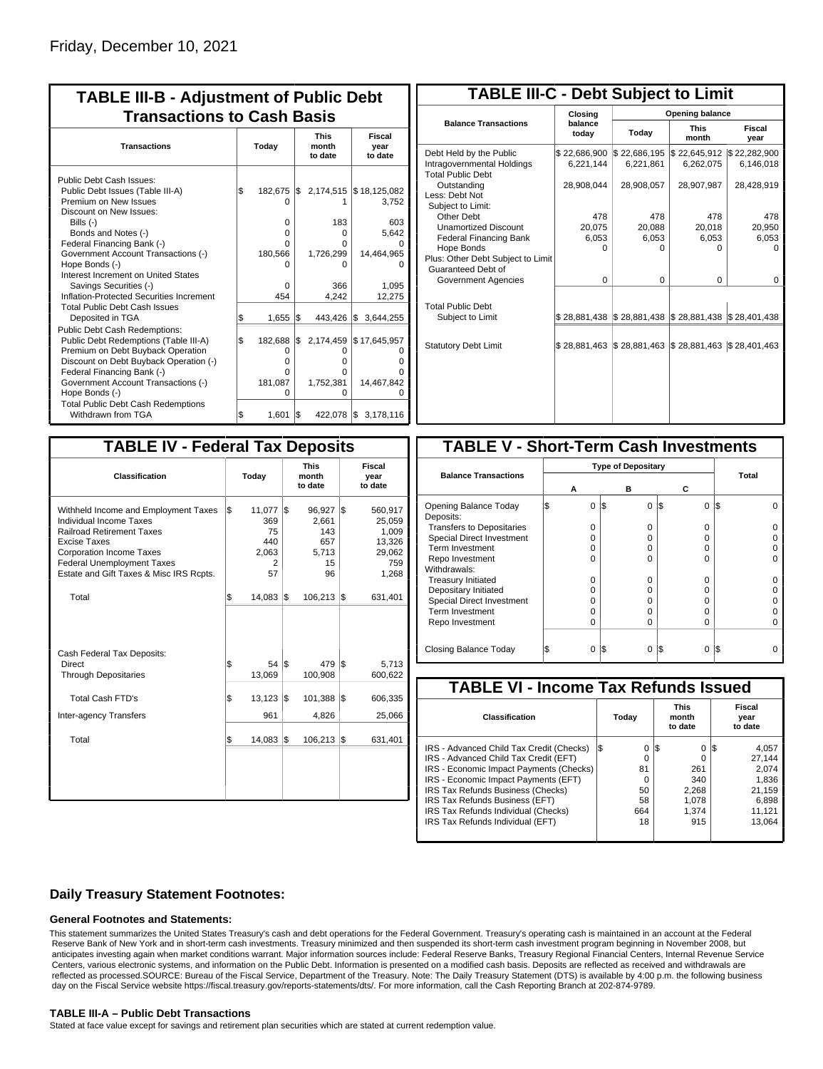| <b>TABLE III-B - Adjustment of Public Debt</b><br><b>Transactions to Cash Basis</b>                                                                                                                                                                                                                                                                      |          |                                                                      |           |                                                                     |                                                                        |  |  |  |  |
|----------------------------------------------------------------------------------------------------------------------------------------------------------------------------------------------------------------------------------------------------------------------------------------------------------------------------------------------------------|----------|----------------------------------------------------------------------|-----------|---------------------------------------------------------------------|------------------------------------------------------------------------|--|--|--|--|
| <b>Transactions</b>                                                                                                                                                                                                                                                                                                                                      |          | Today                                                                |           | <b>This</b><br>month<br>to date                                     | <b>Fiscal</b><br>year<br>to date                                       |  |  |  |  |
| Public Debt Cash Issues:<br>Public Debt Issues (Table III-A)<br>Premium on New Issues<br>Discount on New Issues:<br>Bills (-)<br>Bonds and Notes (-)<br>Federal Financing Bank (-)<br>Government Account Transactions (-)<br>Hope Bonds (-)<br>Interest Increment on United States<br>Savings Securities (-)<br>Inflation-Protected Securities Increment | \$       | 182,675<br>O<br>0<br>$\Omega$<br>O<br>180,566<br>O<br>0<br>454       | I\$       | 2,174,515<br>183<br>$\Omega$<br>O<br>1,726,299<br>0<br>366<br>4,242 | \$18,125,082<br>3,752<br>603<br>5,642<br>14,464,965<br>1,095<br>12,275 |  |  |  |  |
| <b>Total Public Debt Cash Issues</b><br>Deposited in TGA<br>Public Debt Cash Redemptions:<br>Public Debt Redemptions (Table III-A)<br>Premium on Debt Buyback Operation<br>Discount on Debt Buyback Operation (-)<br>Federal Financing Bank (-)<br>Government Account Transactions (-)<br>Hope Bonds (-)<br><b>Total Public Debt Cash Redemptions</b>    | S<br>l\$ | 1,655<br>182,688<br>0<br>$\Omega$<br>$\Omega$<br>181,087<br>$\Omega$ | l\$<br>\$ | 443,426<br>2,174,459<br>0<br>o<br>$\Omega$<br>1,752,381<br>$\Omega$ | l\$<br>3,644,255<br>\$17,645,957<br>Ω<br>14,467,842<br>n               |  |  |  |  |
| Withdrawn from TGA                                                                                                                                                                                                                                                                                                                                       | \$       | 1,601                                                                | S.        | 422,078 \$                                                          | 3,178,116                                                              |  |  |  |  |

| <b>TABLE III-C - Debt Subject to Limit</b>                                        |                           |                                        |                           |                           |  |  |  |  |  |  |
|-----------------------------------------------------------------------------------|---------------------------|----------------------------------------|---------------------------|---------------------------|--|--|--|--|--|--|
|                                                                                   | Closina                   | Opening balance                        |                           |                           |  |  |  |  |  |  |
| <b>Balance Transactions</b>                                                       | balance<br>today          | Today                                  | <b>This</b><br>month      | Fiscal<br>year            |  |  |  |  |  |  |
| Debt Held by the Public<br>Intragovernmental Holdings<br><b>Total Public Debt</b> | \$22,686,900<br>6,221,144 | \$22,686,195<br>6,221,861              | \$22,645,912<br>6,262,075 | \$22,282,900<br>6,146,018 |  |  |  |  |  |  |
| Outstanding<br>Less: Debt Not<br>Subject to Limit:                                | 28,908,044                | 28,908,057                             | 28,907,987                | 28,428,919                |  |  |  |  |  |  |
| Other Debt                                                                        | 478                       | 478                                    | 478                       | 478                       |  |  |  |  |  |  |
| <b>Unamortized Discount</b>                                                       | 20,075                    | 20,088                                 | 20,018                    | 20,950                    |  |  |  |  |  |  |
| <b>Federal Financing Bank</b>                                                     | 6,053                     | 6,053                                  | 6,053                     | 6,053                     |  |  |  |  |  |  |
| Hope Bonds                                                                        | $\Omega$                  | O                                      | U                         | n                         |  |  |  |  |  |  |
| Plus: Other Debt Subject to Limit<br>Guaranteed Debt of                           |                           |                                        |                           |                           |  |  |  |  |  |  |
| Government Agencies                                                               | $\Omega$                  | $\Omega$                               | $\Omega$                  | $\Omega$                  |  |  |  |  |  |  |
| <b>Total Public Debt</b><br>Subject to Limit                                      |                           | \$28,881,438 \$28,881,438 \$28,881,438 |                           | \$28,401,438              |  |  |  |  |  |  |
|                                                                                   |                           |                                        |                           |                           |  |  |  |  |  |  |
| <b>Statutory Debt Limit</b>                                                       | \$28,881,463              | \$28,881,463                           | \$28,881,463              | \$28,401,463              |  |  |  |  |  |  |
|                                                                                   |                           |                                        |                           |                           |  |  |  |  |  |  |

| <b>TABLE IV - Federal Tax Deposits</b>                                                                                                                                                                                                        |       |                                                |     |                                                    |     |                                                                |
|-----------------------------------------------------------------------------------------------------------------------------------------------------------------------------------------------------------------------------------------------|-------|------------------------------------------------|-----|----------------------------------------------------|-----|----------------------------------------------------------------|
| <b>Classification</b>                                                                                                                                                                                                                         | Today |                                                |     | <b>This</b><br>month<br>to date                    |     | Fiscal<br>year<br>to date                                      |
| Withheld Income and Employment Taxes<br>Individual Income Taxes<br><b>Railroad Retirement Taxes</b><br><b>Excise Taxes</b><br><b>Corporation Income Taxes</b><br><b>Federal Unemployment Taxes</b><br>Estate and Gift Taxes & Misc IRS Rcpts. | \$    | 11,077<br>369<br>75<br>440<br>2,063<br>2<br>57 | 1\$ | 96,927<br>2,661<br>143<br>657<br>5,713<br>15<br>96 | l\$ | 560,917<br>25,059<br>1,009<br>13,326<br>29,062<br>759<br>1,268 |
| Total                                                                                                                                                                                                                                         | \$    | $14,083$ \\$                                   |     | 106,213                                            | 1\$ | 631,401                                                        |
| Cash Federal Tax Deposits:<br>Direct<br><b>Through Depositaries</b>                                                                                                                                                                           | \$    | 54 S<br>13,069                                 |     | 479<br>100,908                                     | l\$ | 5,713<br>600,622                                               |
| <b>Total Cash FTD's</b><br><b>Inter-agency Transfers</b>                                                                                                                                                                                      | \$    | 13,123<br>961                                  | l\$ | 101,388<br>4,826                                   | l\$ | 606,335<br>25,066                                              |
| Total                                                                                                                                                                                                                                         | \$    | 14,083                                         | 1\$ | 106,213                                            | l\$ | 631,401                                                        |
|                                                                                                                                                                                                                                               |       |                                                |     |                                                    |     |                                                                |

| <b>TABLE V - Short-Term Cash Investments</b> |          |                           |          |       |  |  |  |  |  |  |
|----------------------------------------------|----------|---------------------------|----------|-------|--|--|--|--|--|--|
|                                              |          | <b>Type of Depositary</b> |          |       |  |  |  |  |  |  |
| <b>Balance Transactions</b>                  |          |                           |          | Total |  |  |  |  |  |  |
|                                              | А        | в                         | С        |       |  |  |  |  |  |  |
| Opening Balance Today<br>Deposits:           | 0        | I\$<br>$\Omega$           | 1\$<br>0 | l\$   |  |  |  |  |  |  |
| <b>Transfers to Depositaries</b>             | O        | O                         | 0        |       |  |  |  |  |  |  |
| <b>Special Direct Investment</b>             | $\Omega$ | Ω                         | 0        |       |  |  |  |  |  |  |
| Term Investment                              | O        | Ω                         | 0        |       |  |  |  |  |  |  |
| Repo Investment                              | n        | n                         | U        |       |  |  |  |  |  |  |
| Withdrawals:                                 |          |                           |          |       |  |  |  |  |  |  |
| <b>Treasury Initiated</b>                    | O        | n                         | 0        |       |  |  |  |  |  |  |
| Depositary Initiated                         | Ω        | Ω                         | 0        |       |  |  |  |  |  |  |
| <b>Special Direct Investment</b>             | Ω        | Ω                         | 0        |       |  |  |  |  |  |  |
| <b>Term Investment</b>                       | n        | Ω                         | 0        |       |  |  |  |  |  |  |
| Repo Investment                              | O        | Ω                         | 0        |       |  |  |  |  |  |  |
|                                              |          |                           |          |       |  |  |  |  |  |  |
| Closing Balance Today                        | 0        | l\$<br>0                  | S<br>0   | l\$   |  |  |  |  |  |  |

| <b>TABLE VI - Income Tax Refunds Issued</b> |     |       |                                 |          |    |                           |  |  |  |  |
|---------------------------------------------|-----|-------|---------------------------------|----------|----|---------------------------|--|--|--|--|
| Classification                              |     | Today | <b>This</b><br>month<br>to date |          |    | Fiscal<br>year<br>to date |  |  |  |  |
| IRS - Advanced Child Tax Credit (Checks)    | I\$ | 0     | 13                              | $\Omega$ | 13 | 4,057                     |  |  |  |  |
| IRS - Advanced Child Tax Credit (EFT)       |     | 0     |                                 | 0        |    | 27.144                    |  |  |  |  |
| IRS - Economic Impact Payments (Checks)     |     | 81    |                                 | 261      |    | 2.074                     |  |  |  |  |
| IRS - Economic Impact Payments (EFT)        |     | 0     |                                 | 340      |    | 1,836                     |  |  |  |  |
| IRS Tax Refunds Business (Checks)           |     | 50    |                                 | 2,268    |    | 21.159                    |  |  |  |  |
| IRS Tax Refunds Business (EFT)              |     | 58    |                                 | 1.078    |    | 6,898                     |  |  |  |  |
| IRS Tax Refunds Individual (Checks)         |     | 664   |                                 | 1.374    |    | 11,121                    |  |  |  |  |
| IRS Tax Refunds Individual (EFT)            |     | 18    |                                 | 915      |    | 13.064                    |  |  |  |  |

### **Daily Treasury Statement Footnotes:**

#### **General Footnotes and Statements:**

This statement summarizes the United States Treasury's cash and debt operations for the Federal Government. Treasury's operating cash is maintained in an account at the Federal Reserve Bank of New York and in short-term cash investments. Treasury minimized and then suspended its short-term cash investment program beginning in November 2008, but anticipates investing again when market conditions warrant. Major information sources include: Federal Reserve Banks, Treasury Regional Financial Centers, Internal Revenue Service Centers, various electronic systems, and information on the Public Debt. Information is presented on a modified cash basis. Deposits are reflected as received and withdrawals are reflected as processed.SOURCE: Bureau of the Fiscal Service, Department of the Treasury. Note: The Daily Treasury Statement (DTS) is available by 4:00 p.m. the following business day on the Fiscal Service website https://fiscal.treasury.gov/reports-statements/dts/. For more information, call the Cash Reporting Branch at 202-874-9789.

#### **TABLE III-A – Public Debt Transactions**

Stated at face value except for savings and retirement plan securities which are stated at current redemption value.